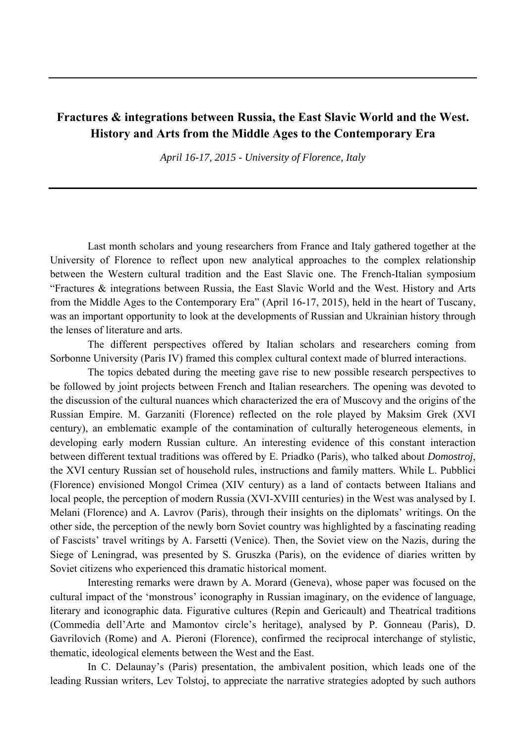## **Fractures & integrations between Russia, the East Slavic World and the West. History and Arts from the Middle Ages to the Contemporary Era**

*April 16-17, 2015 - University of Florence, Italy* 

Last month scholars and young researchers from France and Italy gathered together at the University of Florence to reflect upon new analytical approaches to the complex relationship between the Western cultural tradition and the East Slavic one. The French-Italian symposium "Fractures & integrations between Russia, the East Slavic World and the West. History and Arts from the Middle Ages to the Contemporary Era" (April 16-17, 2015), held in the heart of Tuscany, was an important opportunity to look at the developments of Russian and Ukrainian history through the lenses of literature and arts.

The different perspectives offered by Italian scholars and researchers coming from Sorbonne University (Paris IV) framed this complex cultural context made of blurred interactions.

The topics debated during the meeting gave rise to new possible research perspectives to be followed by joint projects between French and Italian researchers. The opening was devoted to the discussion of the cultural nuances which characterized the era of Muscovy and the origins of the Russian Empire. M. Garzaniti (Florence) reflected on the role played by Maksim Grek (XVI century), an emblematic example of the contamination of culturally heterogeneous elements, in developing early modern Russian culture. An interesting evidence of this constant interaction between different textual traditions was offered by E. Priadko (Paris), who talked about *Domostroj*, the XVI century Russian set of household rules, instructions and family matters. While L. Pubblici (Florence) envisioned Mongol Crimea (XIV century) as a land of contacts between Italians and local people, the perception of modern Russia (XVI-XVIII centuries) in the West was analysed by I. Melani (Florence) and A. Lavrov (Paris), through their insights on the diplomats' writings. On the other side, the perception of the newly born Soviet country was highlighted by a fascinating reading of Fascists' travel writings by A. Farsetti (Venice). Then, the Soviet view on the Nazis, during the Siege of Leningrad, was presented by S. Gruszka (Paris), on the evidence of diaries written by Soviet citizens who experienced this dramatic historical moment.

Interesting remarks were drawn by A. Morard (Geneva), whose paper was focused on the cultural impact of the 'monstrous' iconography in Russian imaginary, on the evidence of language, literary and iconographic data. Figurative cultures (Repin and Gericault) and Theatrical traditions (Commedia dell'Arte and Mamontov circle's heritage), analysed by P. Gonneau (Paris), D. Gavrilovich (Rome) and A. Pieroni (Florence), confirmed the reciprocal interchange of stylistic, thematic, ideological elements between the West and the East.

In C. Delaunay's (Paris) presentation, the ambivalent position, which leads one of the leading Russian writers, Lev Tolstoj, to appreciate the narrative strategies adopted by such authors